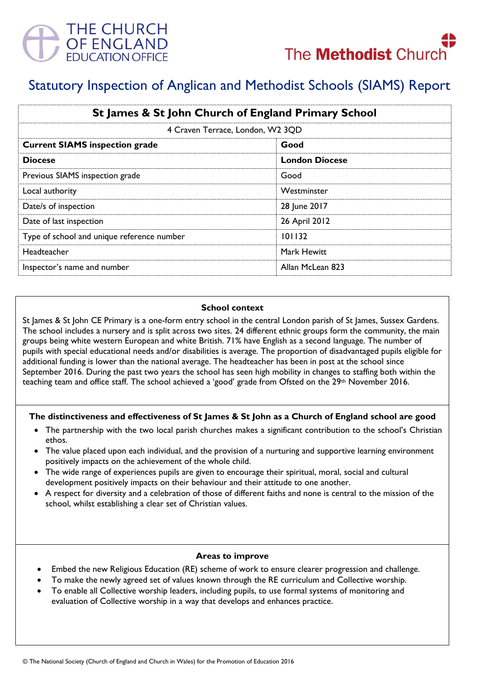



# Statutory Inspection of Anglican and Methodist Schools (SIAMS) Report

| St James & St John Church of England Primary School |                       |
|-----------------------------------------------------|-----------------------|
| 4 Craven Terrace, London, W2 3QD                    |                       |
| <b>Current SIAMS inspection grade</b>               | Good                  |
| <b>Diocese</b>                                      | <b>London Diocese</b> |
| Previous SIAMS inspection grade                     | Good                  |
| Local authority                                     | Westminster           |
| Date/s of inspection                                | 28 June 2017          |
| Date of last inspection                             | 26 April 2012         |
| Type of school and unique reference number          | 101132                |
| <b>Headteacher</b>                                  | Mark Hewitt           |
| Inspector's name and number                         | Allan McLean 823      |

#### **School context**

St James & St John CE Primary is a one-form entry school in the central London parish of St James, Sussex Gardens. The school includes a nursery and is split across two sites. 24 different ethnic groups form the community, the main groups being white western European and white British. 71% have English as a second language. The number of pupils with special educational needs and/or disabilities is average. The proportion of disadvantaged pupils eligible for additional funding is lower than the national average. The headteacher has been in post at the school since September 2016. During the past two years the school has seen high mobility in changes to staffing both within the teaching team and office staff. The school achieved a 'good' grade from Ofsted on the 29th November 2016.

#### **The distinctiveness and effectiveness of St James & St John as a Church of England school are good**

- The partnership with the two local parish churches makes a significant contribution to the school's Christian ethos.
- The value placed upon each individual, and the provision of a nurturing and supportive learning environment positively impacts on the achievement of the whole child.
- The wide range of experiences pupils are given to encourage their spiritual, moral, social and cultural development positively impacts on their behaviour and their attitude to one another.
- A respect for diversity and a celebration of those of different faiths and none is central to the mission of the school, whilst establishing a clear set of Christian values.

#### **Areas to improve**

- Embed the new Religious Education (RE) scheme of work to ensure clearer progression and challenge.
- To make the newly agreed set of values known through the RE curriculum and Collective worship.
- To enable all Collective worship leaders, including pupils, to use formal systems of monitoring and evaluation of Collective worship in a way that develops and enhances practice.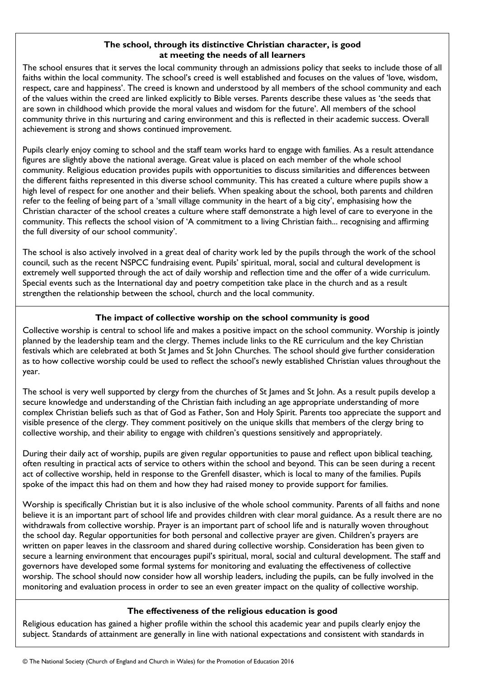## **The school, through its distinctive Christian character, is good at meeting the needs of all learners**

The school ensures that it serves the local community through an admissions policy that seeks to include those of all faiths within the local community. The school's creed is well established and focuses on the values of 'love, wisdom, respect, care and happiness'. The creed is known and understood by all members of the school community and each of the values within the creed are linked explicitly to Bible verses. Parents describe these values as 'the seeds that are sown in childhood which provide the moral values and wisdom for the future'. All members of the school community thrive in this nurturing and caring environment and this is reflected in their academic success. Overall achievement is strong and shows continued improvement.

Pupils clearly enjoy coming to school and the staff team works hard to engage with families. As a result attendance figures are slightly above the national average. Great value is placed on each member of the whole school community. Religious education provides pupils with opportunities to discuss similarities and differences between the different faiths represented in this diverse school community. This has created a culture where pupils show a high level of respect for one another and their beliefs. When speaking about the school, both parents and children refer to the feeling of being part of a 'small village community in the heart of a big city', emphasising how the Christian character of the school creates a culture where staff demonstrate a high level of care to everyone in the community. This reflects the school vision of 'A commitment to a living Christian faith... recognising and affirming the full diversity of our school community'.

The school is also actively involved in a great deal of charity work led by the pupils through the work of the school council, such as the recent NSPCC fundraising event. Pupils' spiritual, moral, social and cultural development is extremely well supported through the act of daily worship and reflection time and the offer of a wide curriculum. Special events such as the International day and poetry competition take place in the church and as a result strengthen the relationship between the school, church and the local community.

## **The impact of collective worship on the school community is good**

Collective worship is central to school life and makes a positive impact on the school community. Worship is jointly planned by the leadership team and the clergy. Themes include links to the RE curriculum and the key Christian festivals which are celebrated at both St James and St John Churches. The school should give further consideration as to how collective worship could be used to reflect the school's newly established Christian values throughout the year.

The school is very well supported by clergy from the churches of St James and St John. As a result pupils develop a secure knowledge and understanding of the Christian faith including an age appropriate understanding of more complex Christian beliefs such as that of God as Father, Son and Holy Spirit. Parents too appreciate the support and visible presence of the clergy. They comment positively on the unique skills that members of the clergy bring to collective worship, and their ability to engage with children's questions sensitively and appropriately.

During their daily act of worship, pupils are given regular opportunities to pause and reflect upon biblical teaching, often resulting in practical acts of service to others within the school and beyond. This can be seen during a recent act of collective worship, held in response to the Grenfell disaster, which is local to many of the families. Pupils spoke of the impact this had on them and how they had raised money to provide support for families.

Worship is specifically Christian but it is also inclusive of the whole school community. Parents of all faiths and none believe it is an important part of school life and provides children with clear moral guidance. As a result there are no withdrawals from collective worship. Prayer is an important part of school life and is naturally woven throughout the school day. Regular opportunities for both personal and collective prayer are given. Children's prayers are written on paper leaves in the classroom and shared during collective worship. Consideration has been given to secure a learning environment that encourages pupil's spiritual, moral, social and cultural development. The staff and governors have developed some formal systems for monitoring and evaluating the effectiveness of collective worship. The school should now consider how all worship leaders, including the pupils, can be fully involved in the monitoring and evaluation process in order to see an even greater impact on the quality of collective worship.

## **The effectiveness of the religious education is good**

Religious education has gained a higher profile within the school this academic year and pupils clearly enjoy the subject. Standards of attainment are generally in line with national expectations and consistent with standards in